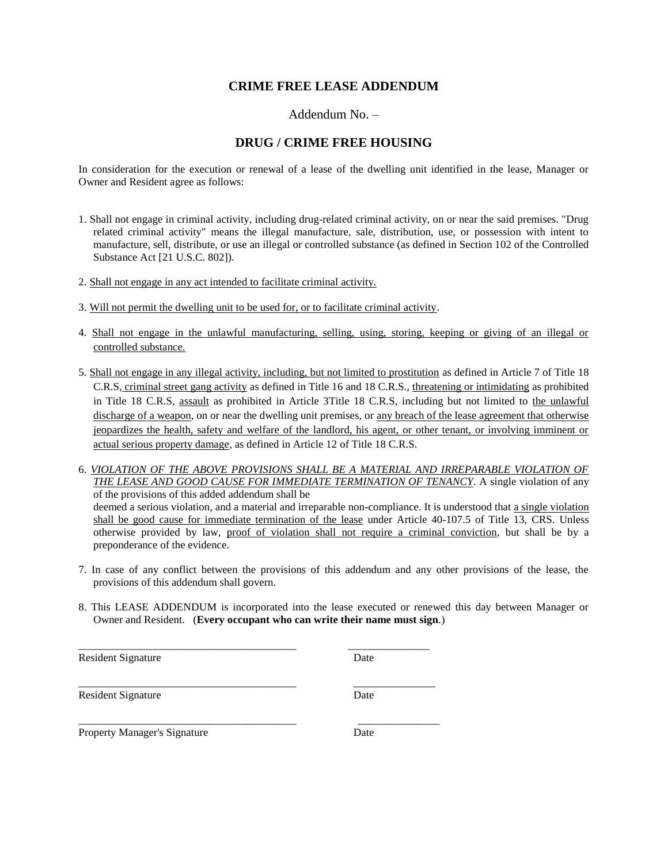## **CRIME FREE LEASE ADDENDUM**

Addendum No. –

#### **DRUG / CRIME FREE HOUSING**

In consideration for the execution or renewal of a lease of the dwelling unit identified in the lease, Manager or Owner and Resident agree as follows:

- 1. Shall not engage in criminal activity, including drug-related criminal activity, on or near the said premises. "Drug related criminal activity" means the illegal manufacture, sale, distribution, use, or possession with intent to manufacture, sell, distribute, or use an illegal or controlled substance (as defined in Section 102 of the Controlled Substance Act [21 U.S.C. 802]).
- 2. Shall not engage in any act intended to facilitate criminal activity.
- 3. Will not permit the dwelling unit to be used for, or to facilitate criminal activity.

\_\_\_\_\_\_\_\_\_\_\_\_\_\_\_\_\_\_\_\_\_\_\_\_\_\_\_\_\_\_\_\_\_\_\_\_\_\_\_\_ \_\_\_\_\_\_\_\_\_\_\_\_\_\_\_

\_\_\_\_\_\_\_\_\_\_\_\_\_\_\_\_\_\_\_\_\_\_\_\_\_\_\_\_\_\_\_\_\_\_\_\_\_\_\_\_ \_\_\_\_\_\_\_\_\_\_\_\_\_\_\_

- 4. Shall not engage in the unlawful manufacturing, selling, using, storing, keeping or giving of an illegal or controlled substance.
- 5. Shall not engage in any illegal activity, including, but not limited to prostitution as defined in Article 7 of Title 18 C.R.S, criminal street gang activity as defined in Title 16 and 18 C.R.S., threatening or intimidating as prohibited in Title 18 C.R.S, assault as prohibited in Article 3Title 18 C.R.S, including but not limited to the unlawful discharge of a weapon, on or near the dwelling unit premises, or any breach of the lease agreement that otherwise jeopardizes the health, safety and welfare of the landlord, his agent, or other tenant, or involving imminent or actual serious property damage, as defined in Article 12 of Title 18 C.R.S.
- 6. *VIOLATION OF THE ABOVE PROVISIONS SHALL BE A MATERIAL AND IRREPARABLE VIOLATION OF THE LEASE AND GOOD CAUSE FOR IMMEDIATE TERMINATION OF TENANCY.* A single violation of any of the provisions of this added addendum shall be deemed a serious violation, and a material and irreparable non-compliance. It is understood that a single violation shall be good cause for immediate termination of the lease under Article 40-107.5 of Title 13, CRS. Unless otherwise provided by law, proof of violation shall not require a criminal conviction, but shall be by a preponderance of the evidence.
- 7. In case of any conflict between the provisions of this addendum and any other provisions of the lease, the provisions of this addendum shall govern.
- 8. This LEASE ADDENDUM is incorporated into the lease executed or renewed this day between Manager or Owner and Resident. (**Every occupant who can write their name must sign**.)

Resident Signature Date

\_\_\_\_\_\_\_\_\_\_\_\_\_\_\_\_\_\_\_\_\_\_\_\_\_\_\_\_\_\_\_\_\_\_\_\_\_\_\_\_ \_\_\_\_\_\_\_\_\_\_\_\_\_\_\_

Resident Signature Date

Property Manager's Signature Date